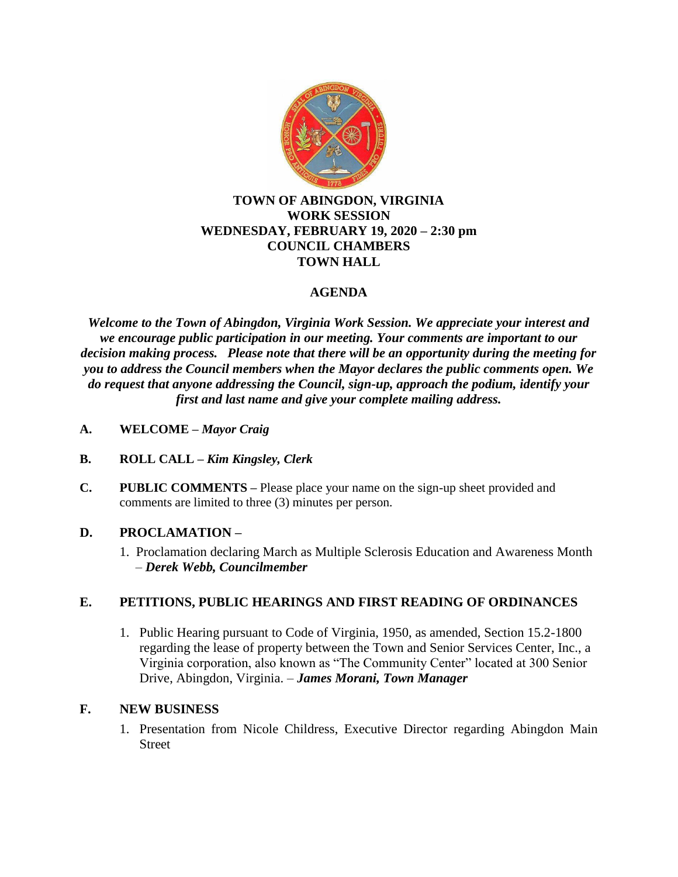

### **TOWN OF ABINGDON, VIRGINIA WORK SESSION WEDNESDAY, FEBRUARY 19, 2020 – 2:30 pm COUNCIL CHAMBERS TOWN HALL**

# **AGENDA**

*Welcome to the Town of Abingdon, Virginia Work Session. We appreciate your interest and we encourage public participation in our meeting. Your comments are important to our decision making process. Please note that there will be an opportunity during the meeting for you to address the Council members when the Mayor declares the public comments open. We do request that anyone addressing the Council, sign-up, approach the podium, identify your first and last name and give your complete mailing address.*

- **A. WELCOME –** *Mayor Craig*
- **B. ROLL CALL –** *Kim Kingsley, Clerk*
- **C. PUBLIC COMMENTS –** Please place your name on the sign-up sheet provided and comments are limited to three (3) minutes per person.

## **D. PROCLAMATION –**

1. Proclamation declaring March as Multiple Sclerosis Education and Awareness Month – *Derek Webb, Councilmember*

## **E. PETITIONS, PUBLIC HEARINGS AND FIRST READING OF ORDINANCES**

1. Public Hearing pursuant to Code of Virginia, 1950, as amended, Section 15.2-1800 regarding the lease of property between the Town and Senior Services Center, Inc., a Virginia corporation, also known as "The Community Center" located at 300 Senior Drive, Abingdon, Virginia. – *James Morani, Town Manager*

## **F. NEW BUSINESS**

1. Presentation from Nicole Childress, Executive Director regarding Abingdon Main Street